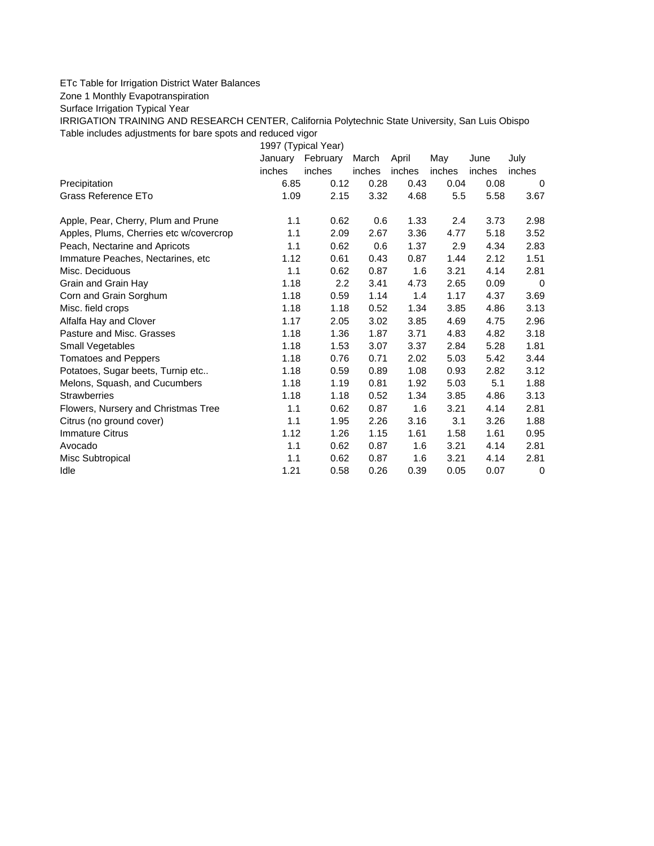## ETc Table for Irrigation District Water Balances

Zone 1 Monthly Evapotranspiration

Surface Irrigation Typical Year

IRRIGATION TRAINING AND RESEARCH CENTER, California Polytechnic State University, San Luis Obispo Table includes adjustments for bare spots and reduced vigor

1997 (Typical Year) January February March April May June July inches inches inches inches inches inches inches Precipitation 6.85 0.12 0.28 0.43 0.04 0.08 0 Grass Reference ETo 1.09 2.15 3.32 4.68 5.5 5.58 3.67 Apple, Pear, Cherry, Plum and Prune 1.1 0.62 0.6 1.33 2.4 3.73 2.98 Apples, Plums, Cherries etc w/covercrop 1.1 2.09 2.67 3.36 4.77 5.18 3.52 Peach, Nectarine and Apricots 1.1 0.62 0.6 1.37 2.9 4.34 2.83 Immature Peaches, Nectarines, etc 1.12 0.61 0.43 0.87 1.44 2.12 1.51 Misc. Deciduous 1.1 0.62 0.87 1.6 3.21 4.14 2.81 Grain and Grain Hay **1.18** 2.2 3.41 4.73 2.65 0.09 0 Corn and Grain Sorghum 1.18 0.59 1.14 1.4 1.17 4.37 3.69 Misc. field crops 1.18 1.18 0.52 1.34 3.85 4.86 3.13 Alfalfa Hay and Clover 1.17 2.05 3.02 3.85 4.69 4.75 2.96 Pasture and Misc. Grasses 1.18 1.36 1.87 3.71 4.83 4.82 3.18 Small Vegetables 1.18 1.53 3.07 3.37 2.84 5.28 1.81 Tomatoes and Peppers 1.18 0.76 0.71 2.02 5.03 5.42 3.44 Potatoes, Sugar beets, Turnip etc.. 1.18 0.59 0.89 1.08 0.93 2.82 3.12 Melons, Squash, and Cucumbers 1.18 1.19 0.81 1.92 5.03 5.1 1.88 Strawberries 1.18 1.18 0.52 1.34 3.85 4.86 3.13 Flowers, Nursery and Christmas Tree 1.1 0.62 0.87 1.6 3.21 4.14 2.81 Citrus (no ground cover) 1.1 1.95 2.26 3.16 3.1 3.26 1.88 Immature Citrus 1.12 1.26 1.15 1.61 1.58 1.61 0.95 Avocado 1.1 0.62 0.87 1.6 3.21 4.14 2.81 Misc Subtropical 1.1 0.62 0.87 1.6 3.21 4.14 2.81 Idle 1.21 0.58 0.26 0.39 0.05 0.07 0